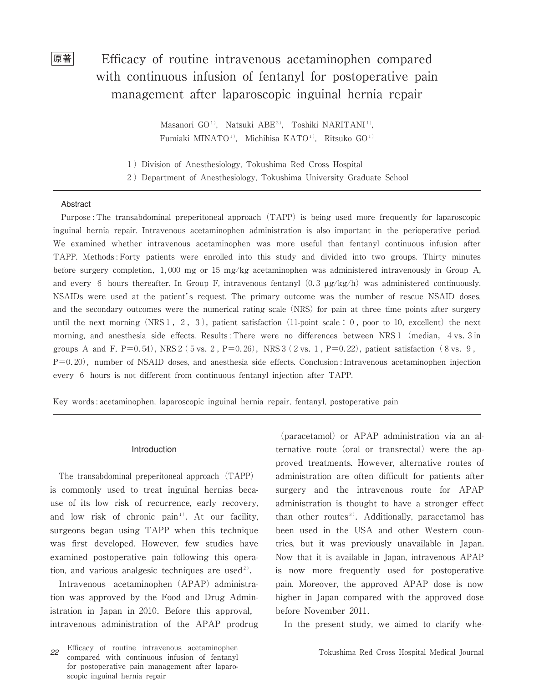# 原著 Efficacy of routine intravenous acetaminophen compared with continuous infusion of fentanyl for postoperative pain management after laparoscopic inguinal hernia repair

Masanori GO<sup>1)</sup>, Natsuki ABE<sup>2)</sup>, Toshiki NARITANI<sup>1)</sup>, Fumiaki MINATO<sup>1)</sup>, Michihisa KATO<sup>1)</sup>, Ritsuko GO<sup>1)</sup>

1) Division of Anesthesiology, Tokushima Red Cross Hospital

2)Department of Anesthesiology, Tokushima University Graduate School

### Abstract

Purpose : The transabdominal preperitoneal approach (TAPP) is being used more frequently for laparoscopic inguinal hernia repair. Intravenous acetaminophen administration is also important in the perioperative period. We examined whether intravenous acetaminophen was more useful than fentanyl continuous infusion after TAPP. Methods : Forty patients were enrolled into this study and divided into two groups. Thirty minutes before surgery completion,1,000 mg or 15 mg/kg acetaminophen was administered intravenously in Group A, and every 6 hours thereafter. In Group F, intravenous fentanyl  $(0.3 \mu g/kg/h)$  was administered continuously. NSAIDs were used at the patient's request. The primary outcome was the number of rescue NSAID doses, and the secondary outcomes were the numerical rating scale (NRS) for pain at three time points after surgery until the next morning (NRS1, 2, 3), patient satisfaction (11-point scale: 0, poor to 10, excellent) the next morning, and anesthesia side effects. Results: There were no differences between NRS1 (median, 4 vs. 3 in groups A and F,  $P=0.54$ ), NRS 2 (5 vs. 2,  $P=0.26$ ), NRS 3 (2 vs. 1,  $P=0.22$ ), patient satisfaction (8 vs. 9,  $P=0.20$ ), number of NSAID doses, and anesthesia side effects. Conclusion : Intravenous acetaminophen injection every 6 hours is not different from continuous fentanyl injection after TAPP.

Key words : acetaminophen, laparoscopic inguinal hernia repair, fentanyl, postoperative pain

#### Introduction

The transabdominal preperitoneal approach (TAPP) is commonly used to treat inguinal hernias because of its low risk of recurrence, early recovery, and low risk of chronic pain<sup>1)</sup>. At our facility, surgeons began using TAPP when this technique was first developed. However, few studies have examined postoperative pain following this operation, and various analgesic techniques are used<sup>2)</sup>.

Intravenous acetaminophen (APAP) administration was approved by the Food and Drug Administration in Japan in 2010. Before this approval, intravenous administration of the APAP prodrug

*<sup>22</sup>* Efficacy of routine intravenous acetaminophen compared with continuous infusion of fentanyl for postoperative pain management after laparoscopic inguinal hernia repair

(paracetamol) or APAP administration via an alternative route (oral or transrectal) were the approved treatments. However, alternative routes of administration are often difficult for patients after surgery and the intravenous route for APAP administration is thought to have a stronger effect than other routes<sup>3)</sup>. Additionally, paracetamol has been used in the USA and other Western countries, but it was previously unavailable in Japan. Now that it is available in Japan, intravenous APAP is now more frequently used for postoperative pain. Moreover, the approved APAP dose is now higher in Japan compared with the approved dose before November 2011.

In the present study, we aimed to clarify whe-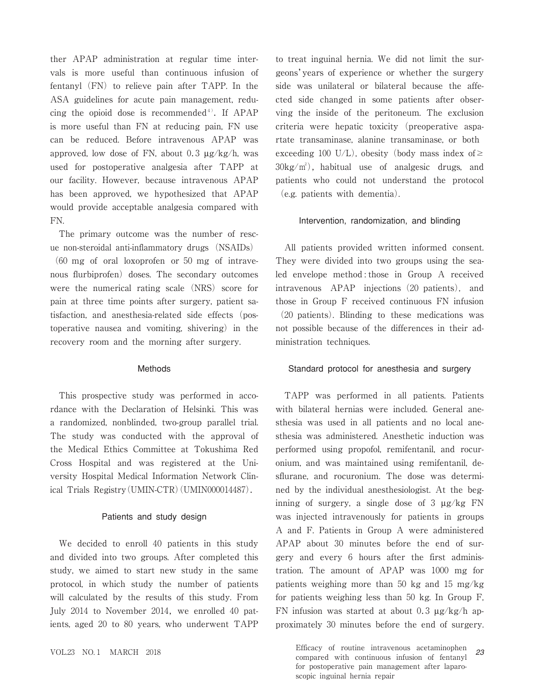ther APAP administration at regular time intervals is more useful than continuous infusion of fentanyl  $(FN)$  to relieve pain after TAPP. In the ASA guidelines for acute pain management, reducing the opioid dose is recommended<sup>4)</sup>. If APAP is more useful than FN at reducing pain, FN use can be reduced. Before intravenous APAP was approved, low dose of FN, about 0.3  $\mu$ g/kg/h, was used for postoperative analgesia after TAPP at our facility. However, because intravenous APAP has been approved, we hypothesized that APAP would provide acceptable analgesia compared with FN.

The primary outcome was the number of rescue non-steroidal anti-inflammatory drugs (NSAIDs)

(60 mg of oral loxoprofen or 50 mg of intravenous flurbiprofen) doses. The secondary outcomes were the numerical rating scale (NRS) score for pain at three time points after surgery, patient satisfaction, and anesthesia-related side effects (postoperative nausea and vomiting, shivering) in the recovery room and the morning after surgery.

### Methods

This prospective study was performed in accordance with the Declaration of Helsinki. This was a randomized, nonblinded, two-group parallel trial. The study was conducted with the approval of the Medical Ethics Committee at Tokushima Red Cross Hospital and was registered at the University Hospital Medical Information Network Clinical Trials Registry(UMIN-CTR)(UMIN000014487).

### Patients and study design

We decided to enroll 40 patients in this study and divided into two groups. After completed this study, we aimed to start new study in the same protocol, in which study the number of patients will calculated by the results of this study. From July 2014 to November 2014, we enrolled 40 patients, aged 20 to 80 years, who underwent TAPP

to treat inguinal hernia. We did not limit the surgeons'years of experience or whether the surgery side was unilateral or bilateral because the affected side changed in some patients after observing the inside of the peritoneum. The exclusion criteria were hepatic toxicity (preoperative aspartate transaminase, alanine transaminase, or both exceeding 100 U/L), obesity (body mass index of  $\geq$  $30\text{kg/m}^2$ , habitual use of analgesic drugs, and patients who could not understand the protocol (e.g. patients with dementia).

### Intervention, randomization, and blinding

All patients provided written informed consent. They were divided into two groups using the sealed envelope method : those in Group A received intravenous APAP injections(20 patients), and those in Group F received continuous FN infusion (20 patients). Blinding to these medications was not possible because of the differences in their administration techniques.

### Standard protocol for anesthesia and surgery

TAPP was performed in all patients. Patients with bilateral hernias were included. General anesthesia was used in all patients and no local anesthesia was administered. Anesthetic induction was performed using propofol, remifentanil, and rocuronium, and was maintained using remifentanil, desflurane, and rocuronium. The dose was determined by the individual anesthesiologist. At the beginning of surgery, a single dose of 3 μg/kg FN was injected intravenously for patients in groups A and F. Patients in Group A were administered APAP about 30 minutes before the end of surgery and every 6 hours after the first administration. The amount of APAP was 1000 mg for patients weighing more than 50 kg and 15 mg/kg for patients weighing less than 50 kg. In Group F, FN infusion was started at about 0.3  $\mu$ g/kg/h approximately 30 minutes before the end of surgery.

VOL.<sup>23</sup> NO.<sup>1</sup> MARCH <sup>2018</sup> Efficacy of routine intravenous acetaminophen compared with continuous infusion of fentanyl for postoperative pain management after laparoscopic inguinal hernia repair *23*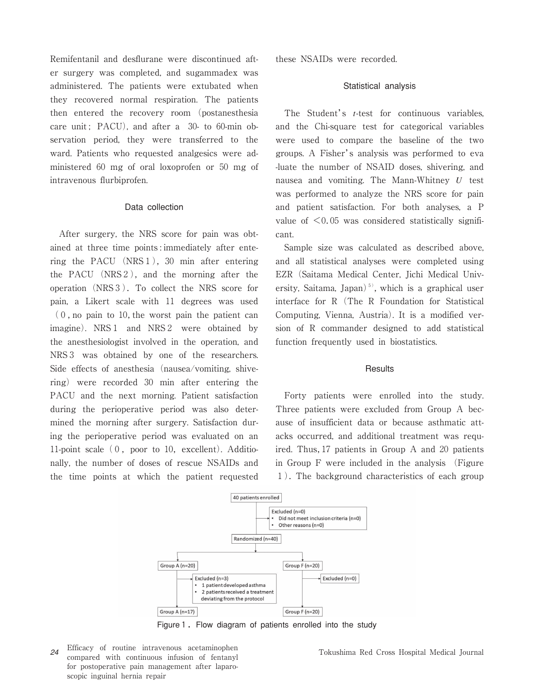Remifentanil and desflurane were discontinued after surgery was completed, and sugammadex was administered. The patients were extubated when they recovered normal respiration. The patients then entered the recovery room (postanesthesia care unit;  $PACU$ ), and after a  $30-$  to 60-min observation period, they were transferred to the ward. Patients who requested analgesics were administered 60 mg of oral loxoprofen or 50 mg of intravenous flurbiprofen.

#### Data collection

After surgery, the NRS score for pain was obtained at three time points : immediately after entering the PACU (NRS1),30 min after entering the PACU (NRS2), and the morning after the operation(NRS3).To collect the NRS score for pain, a Likert scale with 11 degrees was used  $(0, no \text{ pain to } 10, \text{ the worst pain the patient can})$ imagine). NRS1 and NRS2 were obtained by the anesthesiologist involved in the operation, and NRS3 was obtained by one of the researchers. Side effects of anesthesia (nausea/vomiting, shivering) were recorded 30 min after entering the PACU and the next morning. Patient satisfaction during the perioperative period was also determined the morning after surgery. Satisfaction during the perioperative period was evaluated on an 11-point scale  $(0,$  poor to 10, excellent). Additionally, the number of doses of rescue NSAIDs and the time points at which the patient requested

these NSAIDs were recorded.

#### Statistical analysis

The Student's *t*-test for continuous variables, and the Chi-square test for categorical variables were used to compare the baseline of the two groups. A Fisher's analysis was performed to eva -luate the number of NSAID doses, shivering, and nausea and vomiting. The Mann-Whitney *U* test was performed to analyze the NRS score for pain and patient satisfaction. For both analyses, a P value of  $\leq 0.05$  was considered statistically significant.

Sample size was calculated as described above, and all statistical analyses were completed using EZR(Saitama Medical Center, Jichi Medical University, Saitama, Japan)<sup>5)</sup>, which is a graphical user interface for R(The R Foundation for Statistical Computing, Vienna, Austria). It is a modified version of R commander designed to add statistical function frequently used in biostatistics.

#### **Results**

Forty patients were enrolled into the study. Three patients were excluded from Group A because of insufficient data or because asthmatic attacks occurred, and additional treatment was required. Thus,17 patients in Group A and 20 patients in Group F were included in the analysis (Figure 1).The background characteristics of each group



Figure 1. Flow diagram of patients enrolled into the study

*<sup>24</sup>* Efficacy of routine intravenous acetaminophen compared with continuous infusion of fentanyl for postoperative pain management after laparoscopic inguinal hernia repair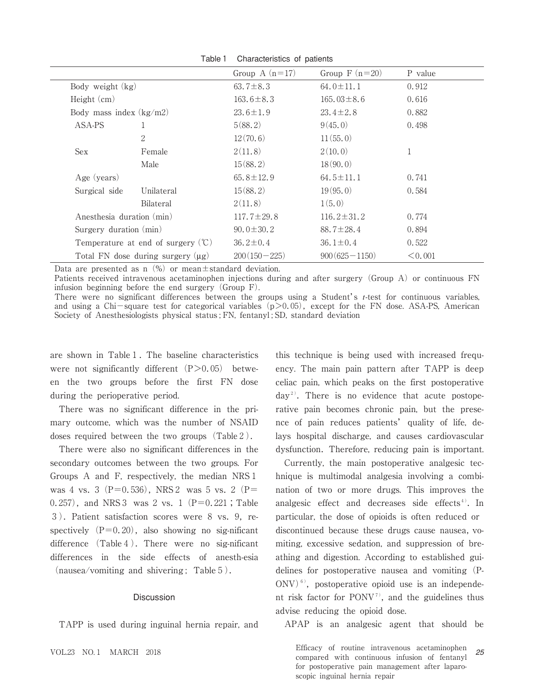| <i><u><b>Directorionice</b></u></i> <b>Directionic</b> |                                               |                  |                   |         |
|--------------------------------------------------------|-----------------------------------------------|------------------|-------------------|---------|
|                                                        |                                               | Group A $(n=17)$ | Group $F(n=20)$   | P value |
| Body weight $(kg)$                                     |                                               | $63.7 \pm 8.3$   | $64.0 \pm 11.1$   | 0.912   |
| Height $(cm)$                                          |                                               | $163.6 \pm 8.3$  | $165.03 \pm 8.6$  | 0.616   |
| Body mass index $(kg/m2)$                              |                                               | $23.6 \pm 1.9$   | $23.4 \pm 2.8$    | 0.882   |
| ASA-PS                                                 | 1                                             | 5(88.2)          | 9(45.0)           | 0.498   |
|                                                        | $\overline{2}$                                | 12(70.6)         | 11(55,0)          |         |
| Sex                                                    | Female                                        | 2(11.8)          | 2(10.0)           | 1       |
|                                                        | Male                                          | 15(88, 2)        | 18(90.0)          |         |
| Age (years)                                            |                                               | $65.8 \pm 12.9$  | $64.5 \pm 11.1$   | 0.741   |
| Surgical side                                          | Unilateral                                    | 15(88, 2)        | 19(95.0)          | 0.584   |
|                                                        | Bilateral                                     | 2(11.8)          | 1(5.0)            |         |
| Anesthesia duration (min)                              |                                               | $117.7 \pm 29.8$ | $116.2 \pm 31.2$  | 0.774   |
| Surgery duration (min)                                 |                                               | $90.0 \pm 30.2$  | $88.7 \pm 28.4$   | 0.894   |
|                                                        | Temperature at end of surgery $(\mathcal{C})$ | $36.2 \pm 0.4$   | $36.1 \pm 0.4$    | 0.522   |
|                                                        | Total FN dose during surgery $(\mu g)$        | $200(150 - 225)$ | $900(625 - 1150)$ | < 0.001 |

Table1 Characteristics of patients

Data are presented as n $(\%)$  or mean $\pm$ standard deviation.

Patients received intravenous acetaminophen injections during and after surgery (Group A) or continuous FN infusion beginning before the end surgery  $(Group F)$ .

There were no significant differences between the groups using a Student's *t*-test for continuous variables, and using a Chi-square test for categorical variables  $(p>0.05)$ , except for the FN dose. ASA-PS, American Society of Anesthesiologists physical status ; FN, fentanyl ; SD, standard deviation

are shown in Table 1. The baseline characteristics were not significantly different  $(P>0.05)$  between the two groups before the first FN dose during the perioperative period.

There was no significant difference in the primary outcome, which was the number of NSAID doses required between the two groups (Table 2).

There were also no significant differences in the secondary outcomes between the two groups. For Groups A and F, respectively, the median NRS1 was 4 vs. 3 (P=0.536), NRS 2 was 5 vs. 2 (P= 0.257), and NRS 3 was 2 vs. 1 (P=0.221; Table 3). Patient satisfaction scores were 8 vs. 9, respectively  $(P=0.20)$ , also showing no sig-nificant difference  $(Table 4)$ . There were no sig-nificant differences in the side effects of anesth-esia  $(nausea/vomiting and shivering; Table 5).$ 

## Discussion

TAPP is used during inguinal hernia repair, and

this technique is being used with increased frequency. The main pain pattern after TAPP is deep celiac pain, which peaks on the first postoperative  $day^2$ . There is no evidence that acute postoperative pain becomes chronic pain, but the presence of pain reduces patients' quality of life, delays hospital discharge, and causes cardiovascular dysfunction. Therefore, reducing pain is important.

Currently, the main postoperative analgesic technique is multimodal analgesia involving a combination of two or more drugs. This improves the analgesic effect and decreases side effects<sup>4)</sup>. In particular, the dose of opioids is often reduced or discontinued because these drugs cause nausea, vomiting, excessive sedation, and suppression of breathing and digestion. According to established guidelines for postoperative nausea and vomiting (P-ONV $\rangle$ <sup>6)</sup>, postoperative opioid use is an independent risk factor for  $PONV^7$ , and the guidelines thus advise reducing the opioid dose.

APAP is an analgesic agent that should be

VOL.<sup>23</sup> NO.<sup>1</sup> MARCH <sup>2018</sup> Efficacy of routine intravenous acetaminophen compared with continuous infusion of fentanyl for postoperative pain management after laparoscopic inguinal hernia repair *25*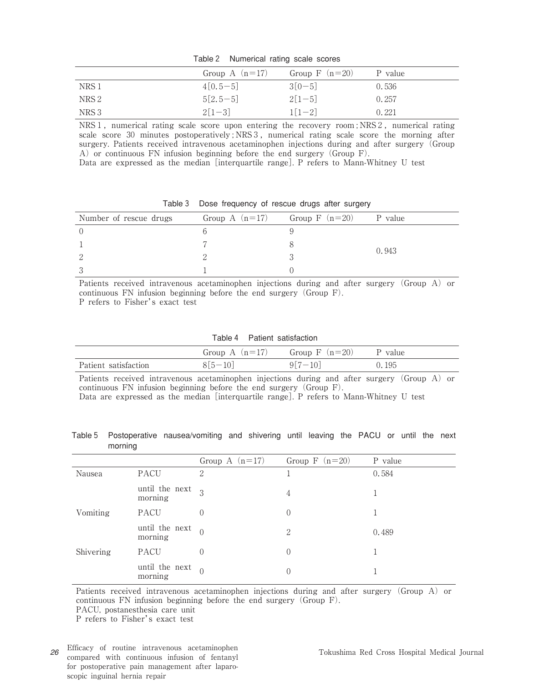| Table 2 | Numerical rating scale scores |  |  |  |
|---------|-------------------------------|--|--|--|
|---------|-------------------------------|--|--|--|

|                  | Group A $(n=17)$ | Group $F(n=20)$ | P value |
|------------------|------------------|-----------------|---------|
| NRS 1            | $4[0.5-5]$       | $3[0-5]$        | 0.536   |
| NRS 2            | $5[2.5-5]$       | $2[1-5]$        | 0.257   |
| NRS <sub>3</sub> | $2[1-3]$         | $1[1-2]$        | 0.221   |

NRS1, numerical rating scale score upon entering the recovery room ; NRS2, numerical rating scale score 30 minutes postoperatively; NRS3, numerical rating scale score the morning after surgery. Patients received intravenous acetaminophen injections during and after surgery(Group A) or continuous FN infusion beginning before the end surgery (Group F).

Data are expressed as the median [interquartile range]. P refers to Mann-Whitney U test

| Number of rescue drugs | Group A $(n=17)$ Group F $(n=20)$ P value |       |
|------------------------|-------------------------------------------|-------|
|                        |                                           |       |
|                        |                                           |       |
|                        |                                           | 0.943 |
|                        |                                           |       |

Table3 Dose frequency of rescue drugs after surgery

Patients received intravenous acetaminophen injections during and after surgery (Group A) or continuous FN infusion beginning before the end surgery (Group  $F$ ). P refers to Fisher's exact test

Table4 Patient satisfaction

|                      |           | Group A $(n=17)$ Group F $(n=20)$ P value |       |
|----------------------|-----------|-------------------------------------------|-------|
| Patient satisfaction | $8[5-10]$ | $917 - 101$                               | 0.195 |

Patients received intravenous acetaminophen injections during and after surgery (Group A) or continuous FN infusion beginning before the end surgery (Group F).

Data are expressed as the median [interquartile range]. P refers to Mann-Whitney U test

|         | Table 5 Postoperative nausea/vomiting and shivering until leaving the PACU or until the next |  |  |  |  |  |
|---------|----------------------------------------------------------------------------------------------|--|--|--|--|--|
| morning |                                                                                              |  |  |  |  |  |

|           |                           | Group A $(n=17)$ | Group $F(n=20)$  | P value |
|-----------|---------------------------|------------------|------------------|---------|
| Nausea    | PACU                      | $\overline{2}$   |                  | 0.584   |
|           | until the next<br>morning | $\overline{Q}$   | 4                |         |
| Vomiting  | <b>PACU</b>               | $\left( \right)$ | $\overline{0}$   |         |
|           | until the next<br>morning | $\Omega$         | 2                | 0.489   |
| Shivering | PACU                      | $\left( \right)$ | 0                |         |
|           | until the next<br>morning | $\bigcap$        | $\left( \right)$ |         |

Patients received intravenous acetaminophen injections during and after surgery (Group A) or continuous FN infusion beginning before the end surgery  $(Group F)$ .

PACU, postanesthesia care unit

P refers to Fisher's exact test

*<sup>26</sup>* Efficacy of routine intravenous acetaminophen compared with continuous infusion of fentanyl for postoperative pain management after laparoscopic inguinal hernia repair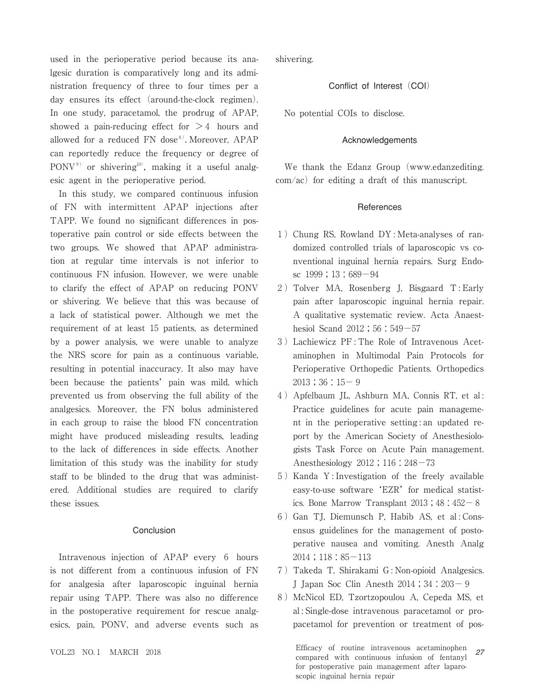used in the perioperative period because its analgesic duration is comparatively long and its administration frequency of three to four times per a day ensures its effect (around-the-clock regimen). In one study, paracetamol, the prodrug of APAP, showed a pain-reducing effect for  $>4$  hours and allowed for a reduced  $FN$  dose<sup>8)</sup>. Moreover, APAP can reportedly reduce the frequency or degree of  $PONV<sup>9</sup>$  or shivering<sup>10</sup>, making it a useful analgesic agent in the perioperative period.

In this study, we compared continuous infusion of FN with intermittent APAP injections after TAPP. We found no significant differences in postoperative pain control or side effects between the two groups. We showed that APAP administration at regular time intervals is not inferior to continuous FN infusion. However, we were unable to clarify the effect of APAP on reducing PONV or shivering. We believe that this was because of a lack of statistical power. Although we met the requirement of at least 15 patients, as determined by a power analysis, we were unable to analyze the NRS score for pain as a continuous variable, resulting in potential inaccuracy. It also may have been because the patients' pain was mild, which prevented us from observing the full ability of the analgesics. Moreover, the FN bolus administered in each group to raise the blood FN concentration might have produced misleading results, leading to the lack of differences in side effects. Another limitation of this study was the inability for study staff to be blinded to the drug that was administered. Additional studies are required to clarify these issues.

## Conclusion

Intravenous injection of APAP every 6 hours is not different from a continuous infusion of FN for analgesia after laparoscopic inguinal hernia repair using TAPP. There was also no difference in the postoperative requirement for rescue analgesics, pain, PONV, and adverse events such as shivering.

Conflict of Interest (COI)

No potential COIs to disclose.

#### Acknowledgements

We thank the Edanz Group (www.edanzediting.  $com/ac$ ) for editing a draft of this manuscript.

#### **References**

- 1)Chung RS, Rowland DY : Meta-analyses of randomized controlled trials of laparoscopic vs conventional inguinal hernia repairs. Surg Endosc  $1999$ ;  $13:689-94$
- 2) Tolver MA, Rosenberg J, Bisgaard T: Early pain after laparoscopic inguinal hernia repair. A qualitative systematic review. Acta Anaesthesiol Scand 2012; 56:549-57
- 3)Lachiewicz PF : The Role of Intravenous Acetaminophen in Multimodal Pain Protocols for Perioperative Orthopedic Patients. Orthopedics  $2013;36:15-9$
- 4)Apfelbaum JL, Ashburn MA, Connis RT, et al : Practice guidelines for acute pain management in the perioperative setting : an updated report by the American Society of Anesthesiologists Task Force on Acute Pain management. Anesthesiology 2012;116:248-73
- 5)Kanda Y : Investigation of the freely available easy-to-use software 'EZR' for medical statistics. Bone Marrow Transplant  $2013$ ;  $48:452-8$
- 6) Gan TJ, Diemunsch P, Habib AS, et al: Consensus guidelines for the management of postoperative nausea and vomiting. Anesth Analg 2014;118:85-113
- 7)Takeda T, Shirakami G : Non-opioid Analgesics. J Japan Soc Clin Anesth 2014;34:203-9
- 8)McNicol ED, Tzortzopoulou A, Cepeda MS, et al : Single-dose intravenous paracetamol or propacetamol for prevention or treatment of pos-

VOL.<sup>23</sup> NO.<sup>1</sup> MARCH <sup>2018</sup> Efficacy of routine intravenous acetaminophen compared with continuous infusion of fentanyl for postoperative pain management after laparoscopic inguinal hernia repair *27*